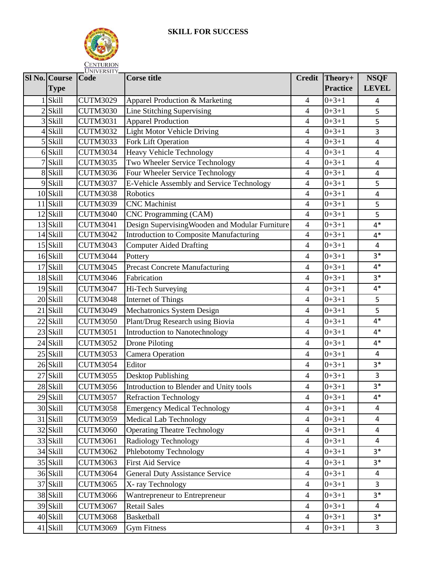

|                | Sl No. Course<br><b>Type</b> | Code            | <b>Corse title</b>                              | <b>Credit</b>  | Theory+<br><b>Practice</b> | <b>NSQF</b><br><b>LEVEL</b> |
|----------------|------------------------------|-----------------|-------------------------------------------------|----------------|----------------------------|-----------------------------|
|                | Skill                        | <b>CUTM3029</b> | Apparel Production & Marketing                  | $\overline{4}$ | $0+3+1$                    | 4                           |
| $\mathfrak{D}$ | <b>Skill</b>                 | <b>CUTM3030</b> | Line Stitching Supervising                      | $\overline{4}$ | $0+3+1$                    | 5                           |
| 3              | <b>Skill</b>                 | <b>CUTM3031</b> | <b>Apparel Production</b>                       | $\overline{4}$ | $0+3+1$                    | 5                           |
| 4              | Skill                        | <b>CUTM3032</b> | Light Motor Vehicle Driving                     | $\overline{4}$ | $0+3+1$                    | 3                           |
| 5              | <b>Skill</b>                 | <b>CUTM3033</b> | Fork Lift Operation                             | $\overline{4}$ | $0+3+1$                    | 4                           |
|                | $6$ Skill                    | <b>CUTM3034</b> | Heavy Vehicle Technology                        | $\overline{4}$ | $0+3+1$                    | $\overline{\mathbf{4}}$     |
|                | Skill                        | <b>CUTM3035</b> | Two Wheeler Service Technology                  | $\overline{4}$ | $0+3+1$                    | $\overline{\mathbf{4}}$     |
|                | 8 Skill                      | <b>CUTM3036</b> | Four Wheeler Service Technology                 | $\overline{4}$ | $0+3+1$                    | 4                           |
| 9              | Skill                        | <b>CUTM3037</b> | E-Vehicle Assembly and Service Technology       | $\overline{4}$ | $0+3+1$                    | 5                           |
|                | $10$ Skill                   | <b>CUTM3038</b> | Robotics                                        | $\overline{4}$ | $0+3+1$                    | 4                           |
| 11             | Skill                        | <b>CUTM3039</b> | <b>CNC</b> Machinist                            | $\overline{4}$ | $0+3+1$                    | 5                           |
|                | $12$ Skill                   | <b>CUTM3040</b> | CNC Programming (CAM)                           | $\overline{4}$ | $0+3+1$                    | 5                           |
|                | 13 Skill                     | <b>CUTM3041</b> | Design Supervising Wooden and Modular Furniture | $\overline{4}$ | $0+3+1$                    | $4*$                        |
|                | $14$ Skill                   | <b>CUTM3042</b> | <b>Introduction to Composite Manufacturing</b>  | $\overline{4}$ | $0+3+1$                    | $4*$                        |
| 15             | Skill                        | <b>CUTM3043</b> | <b>Computer Aided Drafting</b>                  | $\overline{4}$ | $0+3+1$                    | $\overline{\mathbf{4}}$     |
|                | $16$ Skill                   | <b>CUTM3044</b> | Pottery                                         | $\overline{4}$ | $0+3+1$                    | $3*$                        |
| 17             | Skill                        | <b>CUTM3045</b> | <b>Precast Concrete Manufacturing</b>           | $\overline{4}$ | $0+3+1$                    | $4*$                        |
|                | 18 Skill                     | <b>CUTM3046</b> | Fabrication                                     | $\overline{4}$ | $0+3+1$                    | $3*$                        |
| 19             | <b>Skill</b>                 | CUTM3047        | Hi-Tech Surveying                               | $\overline{4}$ | $0+3+1$                    | $4*$                        |
|                | $20$ Skill                   | <b>CUTM3048</b> | Internet of Things                              | $\overline{4}$ | $0+3+1$                    | 5                           |
| 21             | Skill                        | <b>CUTM3049</b> | Mechatronics System Design                      | $\overline{4}$ | $0+3+1$                    | 5                           |
| 22             | Skill                        | <b>CUTM3050</b> | Plant/Drug Research using Biovia                | $\overline{4}$ | $0+3+1$                    | $4*$                        |
|                | 23 Skill                     | <b>CUTM3051</b> | Introduction to Nanotechnology                  | $\overline{4}$ | $0+3+1$                    | $4*$                        |
|                | $24$ Skill                   | <b>CUTM3052</b> | <b>Drone Piloting</b>                           | $\overline{4}$ | $0+3+1$                    | $4*$                        |
|                | $25$ Skill                   | <b>CUTM3053</b> | Camera Operation                                | $\overline{4}$ | $0+3+1$                    | 4                           |
|                | 26 Skill                     | <b>CUTM3054</b> | Editor                                          | $\overline{4}$ | $0+3+1$                    | $3*$                        |
| 27             | <b>Skill</b>                 | <b>CUTM3055</b> | Desktop Publishing                              | $\overline{4}$ | $0+3+1$                    | 3                           |
|                | 28 Skill                     | <b>CUTM3056</b> | Introduction to Blender and Unity tools         | $\overline{4}$ | $0+3+1$                    | $3*$                        |
|                | 29 Skill                     | <b>CUTM3057</b> | <b>Refraction Technology</b>                    | $\overline{4}$ | $0+3+1$                    | $4*$                        |
|                | 30 Skill                     | <b>CUTM3058</b> | <b>Emergency Medical Technology</b>             | $\overline{4}$ | $0+3+1$                    | 4                           |
|                | 31 Skill                     | <b>CUTM3059</b> | <b>Medical Lab Technology</b>                   | $\overline{4}$ | $0+3+1$                    | 4                           |
|                | 32 Skill                     | <b>CUTM3060</b> | <b>Operating Theatre Technology</b>             | $\overline{4}$ | $0+3+1$                    | 4                           |
|                | 33 Skill                     | <b>CUTM3061</b> | Radiology Technology                            | $\overline{4}$ | $0+3+1$                    | 4                           |
|                | 34 Skill                     | <b>CUTM3062</b> | Phlebotomy Technology                           | $\overline{4}$ | $0+3+1$                    | $3*$                        |
|                | 35 Skill                     | <b>CUTM3063</b> | <b>First Aid Service</b>                        | $\overline{4}$ | $0+3+1$                    | $3*$                        |
|                | 36 Skill                     | <b>CUTM3064</b> | <b>General Duty Assistance Service</b>          | $\overline{4}$ | $0+3+1$                    | 4                           |
| 37             | Skill                        | <b>CUTM3065</b> | X-ray Technology                                | $\overline{4}$ | $0+3+1$                    | $\overline{3}$              |
|                | 38 Skill                     | <b>CUTM3066</b> | Wantrepreneur to Entrepreneur                   | $\overline{4}$ | $0+3+1$                    | $3*$                        |
|                | 39 Skill                     | <b>CUTM3067</b> | <b>Retail Sales</b>                             | $\overline{4}$ | $0+3+1$                    | 4                           |
|                | 40 Skill                     | <b>CUTM3068</b> | <b>Basketball</b>                               | $\overline{4}$ | $0+3+1$                    | $3*$                        |
|                | 41 Skill                     | <b>CUTM3069</b> | <b>Gym Fitness</b>                              | $\overline{4}$ | $0+3+1$                    | 3                           |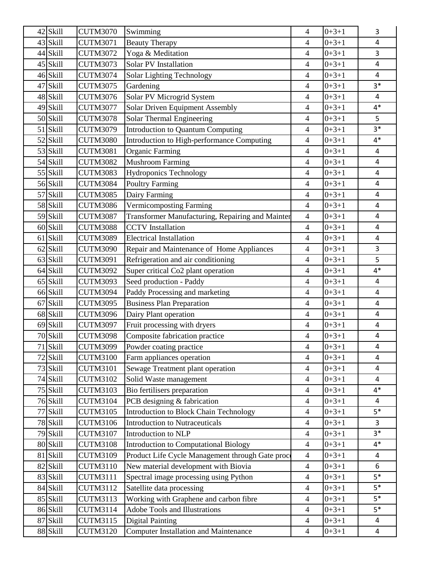|    | 42 Skill   | <b>CUTM3070</b> | Swimming                                         | 4              | $0+3+1$ | 3                       |
|----|------------|-----------------|--------------------------------------------------|----------------|---------|-------------------------|
|    | 43 Skill   | <b>CUTM3071</b> | <b>Beauty Therapy</b>                            | 4              | $0+3+1$ | $\overline{4}$          |
|    | 44 Skill   | <b>CUTM3072</b> | Yoga & Meditation                                | 4              | $0+3+1$ | 3                       |
|    | 45 Skill   | <b>CUTM3073</b> | <b>Solar PV Installation</b>                     | $\overline{4}$ | $0+3+1$ | $\overline{4}$          |
|    | 46 Skill   | <b>CUTM3074</b> | Solar Lighting Technology                        | 4              | $0+3+1$ | 4                       |
|    | 47 Skill   | <b>CUTM3075</b> | Gardening                                        | $\overline{4}$ | $0+3+1$ | $3*$                    |
|    | 48 Skill   | <b>CUTM3076</b> | Solar PV Microgrid System                        | $\overline{4}$ | $0+3+1$ | $\overline{a}$          |
|    | 49 Skill   | <b>CUTM3077</b> | <b>Solar Driven Equipment Assembly</b>           | $\overline{4}$ | $0+3+1$ | $4*$                    |
|    | 50 Skill   | <b>CUTM3078</b> | Solar Thermal Engineering                        | $\overline{4}$ | $0+3+1$ | 5                       |
|    | $51$ Skill | <b>CUTM3079</b> | <b>Introduction to Quantum Computing</b>         | $\overline{4}$ | $0+3+1$ | $3*$                    |
|    | $52$ Skill | <b>CUTM3080</b> | Introduction to High-performance Computing       | $\overline{4}$ | $0+3+1$ | $4*$                    |
|    | 53 Skill   | <b>CUTM3081</b> | Organic Farming                                  | $\overline{4}$ | $0+3+1$ | $\overline{4}$          |
|    | 54 Skill   | <b>CUTM3082</b> | <b>Mushroom Farming</b>                          | $\overline{4}$ | $0+3+1$ | $\overline{4}$          |
|    | 55 Skill   | <b>CUTM3083</b> | <b>Hydroponics Technology</b>                    | $\overline{4}$ | $0+3+1$ | 4                       |
|    | 56 Skill   | <b>CUTM3084</b> | <b>Poultry Farming</b>                           | $\overline{4}$ | $0+3+1$ | $\overline{4}$          |
|    | 57 Skill   | <b>CUTM3085</b> | Dairy Farming                                    | $\overline{4}$ | $0+3+1$ | $\overline{\mathbf{4}}$ |
|    | 58 Skill   | <b>CUTM3086</b> | <b>Vermicomposting Farming</b>                   | $\overline{4}$ | $0+3+1$ | 4                       |
|    | 59 Skill   | <b>CUTM3087</b> | Transformer Manufacturing, Repairing and Mainter | $\overline{4}$ | $0+3+1$ | $\overline{\mathbf{4}}$ |
|    | $60$ Skill | <b>CUTM3088</b> | <b>CCTV</b> Installation                         | $\overline{4}$ | $0+3+1$ | $\overline{4}$          |
|    | $61$ Skill | <b>CUTM3089</b> | <b>Electrical Installation</b>                   | $\overline{4}$ | $0+3+1$ | 4                       |
|    | $62$ Skill | <b>CUTM3090</b> | Repair and Maintenance of Home Appliances        | $\overline{4}$ | $0+3+1$ | 3                       |
|    | 63 Skill   | <b>CUTM3091</b> | Refrigeration and air conditioning               | $\overline{4}$ | $0+3+1$ | 5                       |
|    | 64 Skill   | <b>CUTM3092</b> | Super critical Co2 plant operation               | $\overline{4}$ | $0+3+1$ | $4*$                    |
|    | $65$ Skill | <b>CUTM3093</b> | Seed production - Paddy                          | $\overline{4}$ | $0+3+1$ | 4                       |
|    | 66 Skill   | <b>CUTM3094</b> | Paddy Processing and marketing                   | $\overline{4}$ | $0+3+1$ | 4                       |
| 67 | Skill      | <b>CUTM3095</b> | <b>Business Plan Preparation</b>                 | $\overline{4}$ | $0+3+1$ | $\overline{a}$          |
|    | 68 Skill   | <b>CUTM3096</b> | Dairy Plant operation                            | $\overline{4}$ | $0+3+1$ | 4                       |
|    | 69 Skill   | <b>CUTM3097</b> | Fruit processing with dryers                     | 4              | $0+3+1$ | 4                       |
|    | 70 Skill   | <b>CUTM3098</b> | Composite fabrication practice                   | $\overline{4}$ | $0+3+1$ | $\overline{\mathbf{4}}$ |
|    | 71 Skill   | <b>CUTM3099</b> | Powder coating practice                          | $\overline{4}$ | $0+3+1$ | 4                       |
|    | 72 Skill   | <b>CUTM3100</b> | Farm appliances operation                        | 4              | $0+3+1$ | 4                       |
|    | 73 Skill   | <b>CUTM3101</b> | Sewage Treatment plant operation                 | $\overline{4}$ | $0+3+1$ | $\overline{a}$          |
|    | 74 Skill   | <b>CUTM3102</b> | Solid Waste management                           | $\overline{4}$ | $0+3+1$ | 4                       |
|    | 75 Skill   | <b>CUTM3103</b> | Bio fertilisers preparation                      | $\overline{4}$ | $0+3+1$ | $4*$                    |
|    | 76 Skill   | <b>CUTM3104</b> | PCB designing & fabrication                      | $\overline{4}$ | $0+3+1$ | $\overline{4}$          |
|    | 77 Skill   | <b>CUTM3105</b> | Introduction to Block Chain Technology           | $\overline{4}$ | $0+3+1$ | $5*$                    |
|    | 78 Skill   | <b>CUTM3106</b> | <b>Introduction to Nutraceuticals</b>            | $\overline{4}$ | $0+3+1$ | 3                       |
|    | 79 Skill   | <b>CUTM3107</b> | Introduction to NLP                              | $\overline{4}$ | $0+3+1$ | $3*$                    |
|    | 80 Skill   | <b>CUTM3108</b> | <b>Introduction to Computational Biology</b>     | $\overline{4}$ | $0+3+1$ | $4*$                    |
|    | 81 Skill   | <b>CUTM3109</b> | Product Life Cycle Management through Gate proce | $\overline{4}$ | $0+3+1$ | $\overline{\mathbf{4}}$ |
|    | 82 Skill   | <b>CUTM3110</b> | New material development with Biovia             | $\overline{4}$ | $0+3+1$ | 6                       |
|    | 83 Skill   | <b>CUTM3111</b> | Spectral image processing using Python           | $\overline{4}$ | $0+3+1$ | $5*$                    |
|    | 84 Skill   | <b>CUTM3112</b> | Satellite data processing                        | $\overline{4}$ | $0+3+1$ | $5*$                    |
|    | 85 Skill   | <b>CUTM3113</b> | Working with Graphene and carbon fibre           | $\overline{4}$ | $0+3+1$ | $5*$                    |
|    | 86 Skill   | <b>CUTM3114</b> | <b>Adobe Tools and Illustrations</b>             | $\overline{4}$ | $0+3+1$ | $5*$                    |
|    | 87 Skill   | <b>CUTM3115</b> | <b>Digital Painting</b>                          | $\overline{4}$ | $0+3+1$ | 4                       |
|    | 88 Skill   | <b>CUTM3120</b> | Computer Installation and Maintenance            | $\overline{4}$ | $0+3+1$ | 4                       |